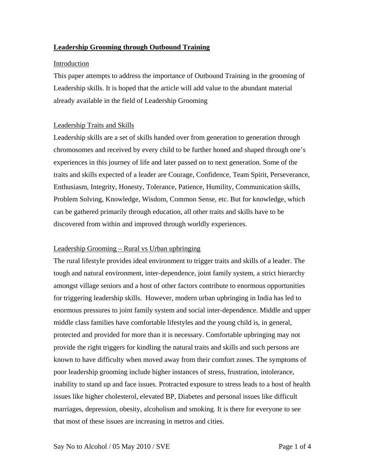# **Leadership Grooming through Outbound Training**

### Introduction

This paper attempts to address the importance of Outbound Training in the grooming of Leadership skills. It is hoped that the article will add value to the abundant material already available in the field of Leadership Grooming

## Leadership Traits and Skills

Leadership skills are a set of skills handed over from generation to generation through chromosomes and received by every child to be further honed and shaped through one's experiences in this journey of life and later passed on to next generation. Some of the traits and skills expected of a leader are Courage, Confidence, Team Spirit, Perseverance, Enthusiasm, Integrity, Honesty, Tolerance, Patience, Humility, Communication skills, Problem Solving, Knowledge, Wisdom, Common Sense, etc. But for knowledge, which can be gathered primarily through education, all other traits and skills have to be discovered from within and improved through worldly experiences.

## Leadership Grooming – Rural vs Urban upbringing

The rural lifestyle provides ideal environment to trigger traits and skills of a leader. The tough and natural environment, inter-dependence, joint family system, a strict hierarchy amongst village seniors and a host of other factors contribute to enormous opportunities for triggering leadership skills. However, modern urban upbringing in India has led to enormous pressures to joint family system and social inter-dependence. Middle and upper middle class families have comfortable lifestyles and the young child is, in general, protected and provided for more than it is necessary. Comfortable upbringing may not provide the right triggers for kindling the natural traits and skills and such persons are known to have difficulty when moved away from their comfort zones. The symptoms of poor leadership grooming include higher instances of stress, frustration, intolerance, inability to stand up and face issues. Protracted exposure to stress leads to a host of health issues like higher cholesterol, elevated BP, Diabetes and personal issues like difficult marriages, depression, obesity, alcoholism and smoking. It is there for everyone to see that most of these issues are increasing in metros and cities.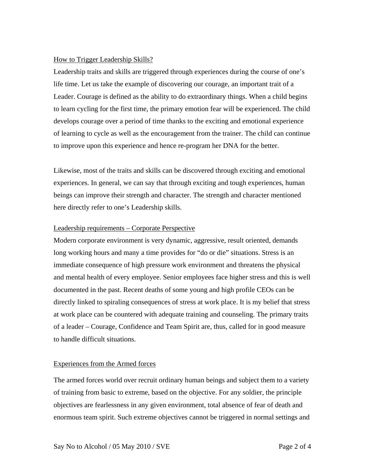### How to Trigger Leadership Skills?

Leadership traits and skills are triggered through experiences during the course of one's life time. Let us take the example of discovering our courage, an important trait of a Leader. Courage is defined as the ability to do extraordinary things. When a child begins to learn cycling for the first time, the primary emotion fear will be experienced. The child develops courage over a period of time thanks to the exciting and emotional experience of learning to cycle as well as the encouragement from the trainer. The child can continue to improve upon this experience and hence re-program her DNA for the better.

Likewise, most of the traits and skills can be discovered through exciting and emotional experiences. In general, we can say that through exciting and tough experiences, human beings can improve their strength and character. The strength and character mentioned here directly refer to one's Leadership skills.

#### Leadership requirements – Corporate Perspective

Modern corporate environment is very dynamic, aggressive, result oriented, demands long working hours and many a time provides for "do or die" situations. Stress is an immediate consequence of high pressure work environment and threatens the physical and mental health of every employee. Senior employees face higher stress and this is well documented in the past. Recent deaths of some young and high profile CEOs can be directly linked to spiraling consequences of stress at work place. It is my belief that stress at work place can be countered with adequate training and counseling. The primary traits of a leader – Courage, Confidence and Team Spirit are, thus, called for in good measure to handle difficult situations.

## Experiences from the Armed forces

The armed forces world over recruit ordinary human beings and subject them to a variety of training from basic to extreme, based on the objective. For any soldier, the principle objectives are fearlessness in any given environment, total absence of fear of death and enormous team spirit. Such extreme objectives cannot be triggered in normal settings and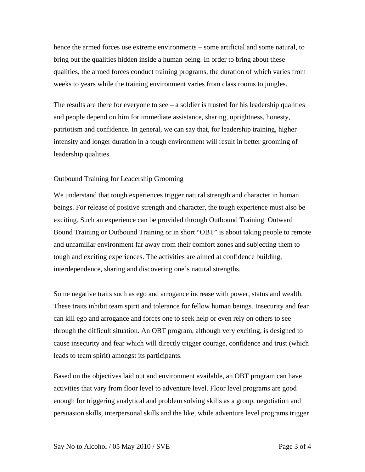hence the armed forces use extreme environments – some artificial and some natural, to bring out the qualities hidden inside a human being. In order to bring about these qualities, the armed forces conduct training programs, the duration of which varies from weeks to years while the training environment varies from class rooms to jungles.

The results are there for everyone to see  $-$  a soldier is trusted for his leadership qualities and people depend on him for immediate assistance, sharing, uprightness, honesty, patriotism and confidence. In general, we can say that, for leadership training, higher intensity and longer duration in a tough environment will result in better grooming of leadership qualities.

#### Outbound Training for Leadership Grooming

We understand that tough experiences trigger natural strength and character in human beings. For release of positive strength and character, the tough experience must also be exciting. Such an experience can be provided through Outbound Training. Outward Bound Training or Outbound Training or in short "OBT" is about taking people to remote and unfamiliar environment far away from their comfort zones and subjecting them to tough and exciting experiences. The activities are aimed at confidence building, interdependence, sharing and discovering one's natural strengths.

Some negative traits such as ego and arrogance increase with power, status and wealth. These traits inhibit team spirit and tolerance for fellow human beings. Insecurity and fear can kill ego and arrogance and forces one to seek help or even rely on others to see through the difficult situation. An OBT program, although very exciting, is designed to cause insecurity and fear which will directly trigger courage, confidence and trust (which leads to team spirit) amongst its participants.

Based on the objectives laid out and environment available, an OBT program can have activities that vary from floor level to adventure level. Floor level programs are good enough for triggering analytical and problem solving skills as a group, negotiation and persuasion skills, interpersonal skills and the like, while adventure level programs trigger